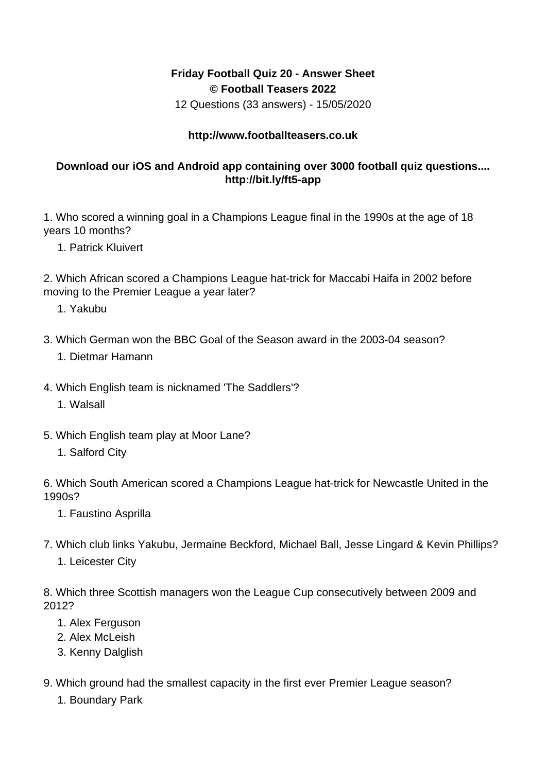## **Friday Football Quiz 20 - Answer Sheet © Football Teasers 2022**

12 Questions (33 answers) - 15/05/2020

## **http://www.footballteasers.co.uk**

## **Download our iOS and Android app containing over 3000 football quiz questions.... http://bit.ly/ft5-app**

1. Who scored a winning goal in a Champions League final in the 1990s at the age of 18 years 10 months?

1. Patrick Kluivert

2. Which African scored a Champions League hat-trick for Maccabi Haifa in 2002 before moving to the Premier League a year later?

- 1. Yakubu
- 3. Which German won the BBC Goal of the Season award in the 2003-04 season?
	- 1. Dietmar Hamann
- 4. Which English team is nicknamed 'The Saddlers'?
	- 1. Walsall
- 5. Which English team play at Moor Lane?
	- 1. Salford City

6. Which South American scored a Champions League hat-trick for Newcastle United in the 1990s?

- 1. Faustino Asprilla
- 7. Which club links Yakubu, Jermaine Beckford, Michael Ball, Jesse Lingard & Kevin Phillips? 1. Leicester City

8. Which three Scottish managers won the League Cup consecutively between 2009 and 2012?

- 1. Alex Ferguson
- 2. Alex McLeish
- 3. Kenny Dalglish
- 9. Which ground had the smallest capacity in the first ever Premier League season?
	- 1. Boundary Park